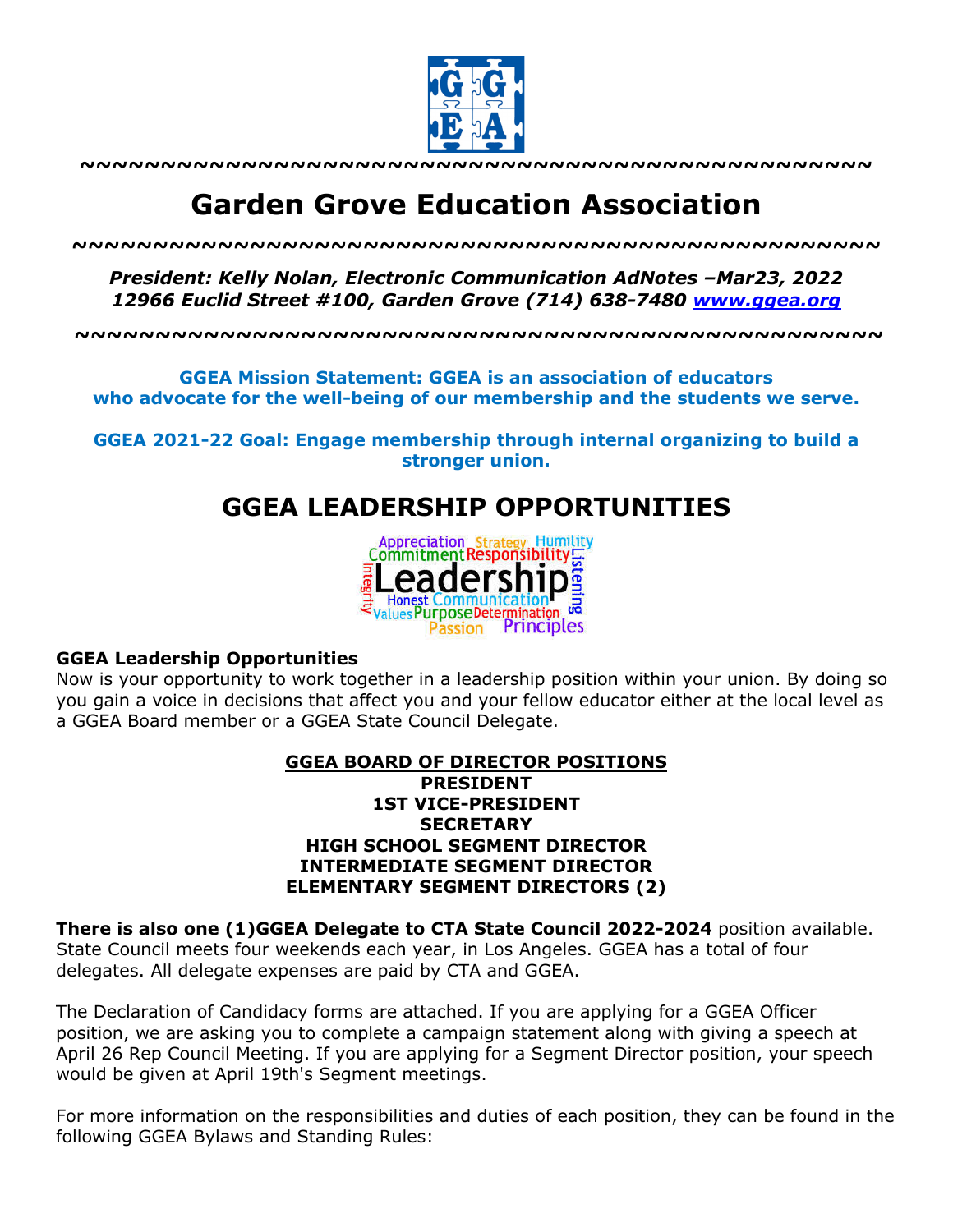

**~~~~~~~~~~~~~~~~~~~~~~~~~~~~~~~~~~~~~~~~~~~~~~~~~**

# **Garden Grove Education Association**

*~~~~~~~~~~~~~~~~~~~~~~~~~~~~~~~~~~~~~~~~~~~~~~~~~~*

*President: Kelly Nolan, Electronic Communication AdNotes –Mar23, 2022 12966 Euclid Street #100, Garden Grove (714) 638-7480 www.ggea.org*

**~~~~~~~~~~~~~~~~~~~~~~~~~~~~~~~~~~~~~~~~~~~~~~~~~~**

**GGEA Mission Statement: GGEA is an association of educators who advocate for the well-being of our membership and the students we serve.**

**GGEA 2021-22 Goal: Engage membership through internal organizing to build a stronger union.**

# **GGEA LEADERSHIP OPPORTUNITIES**



#### **GGEA Leadership Opportunities**

Now is your opportunity to work together in a leadership position within your union. By doing so you gain a voice in decisions that affect you and your fellow educator either at the local level as a GGEA Board member or a GGEA State Council Delegate.

#### **GGEA BOARD OF DIRECTOR POSITIONS PRESIDENT 1ST VICE-PRESIDENT SECRETARY HIGH SCHOOL SEGMENT DIRECTOR INTERMEDIATE SEGMENT DIRECTOR ELEMENTARY SEGMENT DIRECTORS (2)**

**There is also one (1)GGEA Delegate to CTA State Council 2022-2024** position available. State Council meets four weekends each year, in Los Angeles. GGEA has a total of four delegates. All delegate expenses are paid by CTA and GGEA.

The Declaration of Candidacy forms are attached. If you are applying for a GGEA Officer position, we are asking you to complete a campaign statement along with giving a speech at April 26 Rep Council Meeting. If you are applying for a Segment Director position, your speech would be given at April 19th's Segment meetings.

For more information on the responsibilities and duties of each position, they can be found in the following GGEA Bylaws and Standing Rules: